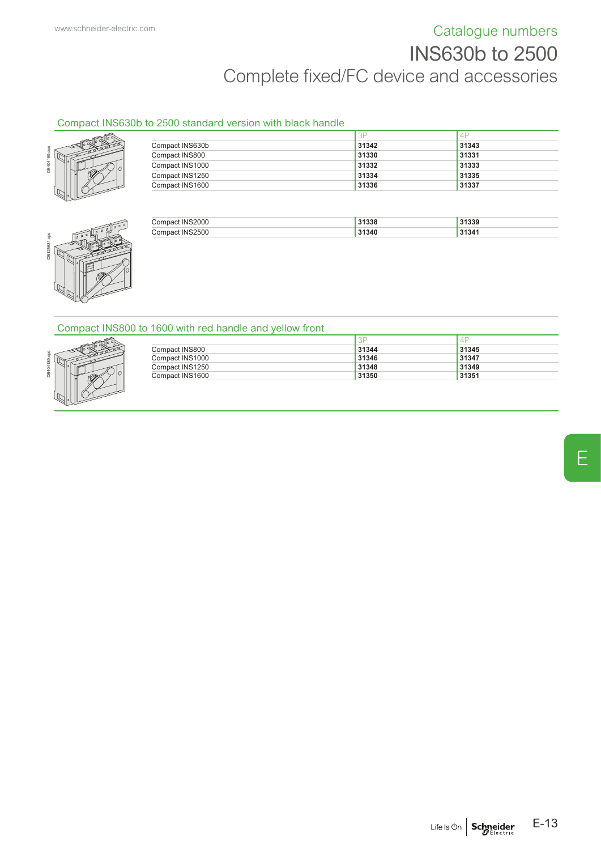# [www.schneider-electric.com](http://www.schneider-electric.com) **Catalogue numbers** INS630b to 2500 Complete fixed/FC device and accessories

### Compact INS630b to 2500 standard version with black handle



|                 | 3P    | 4F    |
|-----------------|-------|-------|
| Compact INS630b | 31342 | 31343 |
| Compact INS800  | 31330 | 31331 |
| Compact INS1000 | 31332 | 31333 |
| Compact INS1250 | 31334 | 31335 |
| Compact INS1600 | 31336 | 31337 |



| <b>INS2000</b><br>Compact: | 31338 | 31339 |
|----------------------------|-------|-------|
| <b>INS2500</b><br>∴omnac   | 31340 | 31341 |

### Compact INS800 to 1600 with red handle and yellow front



|                 | 3F    | 4     |
|-----------------|-------|-------|
| Compact INS800  | 31344 | 31345 |
| Compact INS1000 | 31346 | 31347 |
| Compact INS1250 | 31348 | 31349 |
| Compact INS1600 | 31350 | 31351 |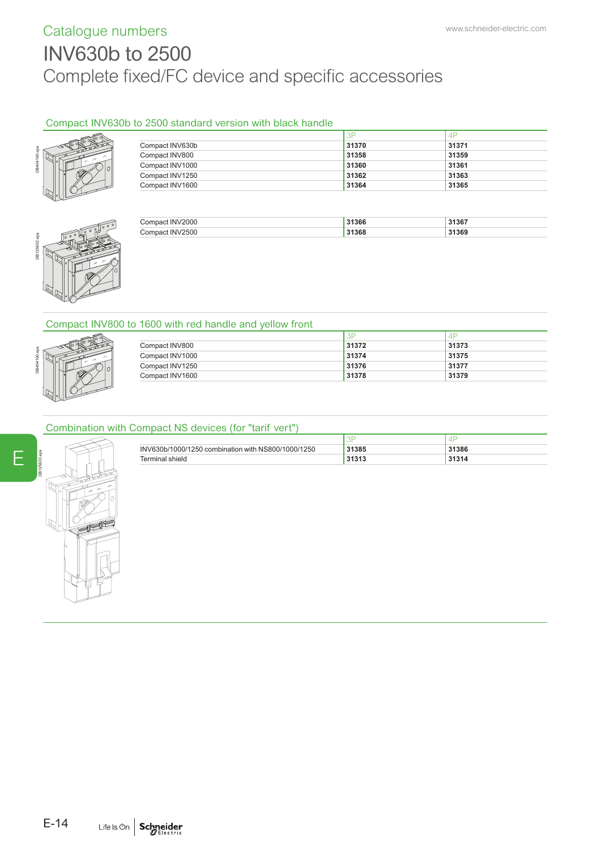# Catalogue numbers [www.schneider-electric.com](http://www.schneider-electric.com) INV630b to 2500 Complete fixed/FC device and specific accessories

# Compact INV630b to 2500 standard version with black handle



|                 | 3F    | -4P   |  |
|-----------------|-------|-------|--|
| Compact INV630b | 31370 | 31371 |  |
| Compact INV800  | 31358 | 31359 |  |
| Compact INV1000 | 31360 | 31361 |  |
| Compact INV1250 | 31362 | 31363 |  |
| Compact INV1600 | 31364 | 31365 |  |



| 31368<br>INI | 2000 | 31366 | 31367 |
|--------------|------|-------|-------|
|              | 2500 |       | 31369 |

## Compact INV800 to 1600 with red handle and yellow front



| Compact INV800  | 31372 | 31373 |
|-----------------|-------|-------|
| Compact INV1000 | 31374 | 31375 |
| Compact INV1250 | 31376 | 31377 |
| Compact INV1600 | 31378 | 31379 |

## Combination with Compact NS devices (for "tarif vert")

|                 | INV630b/1000/1250 combination with NS800/1000/1250 | 31385          | 31386 |
|-----------------|----------------------------------------------------|----------------|-------|
| Terminal shield |                                                    | 24242<br>31313 | 31314 |



E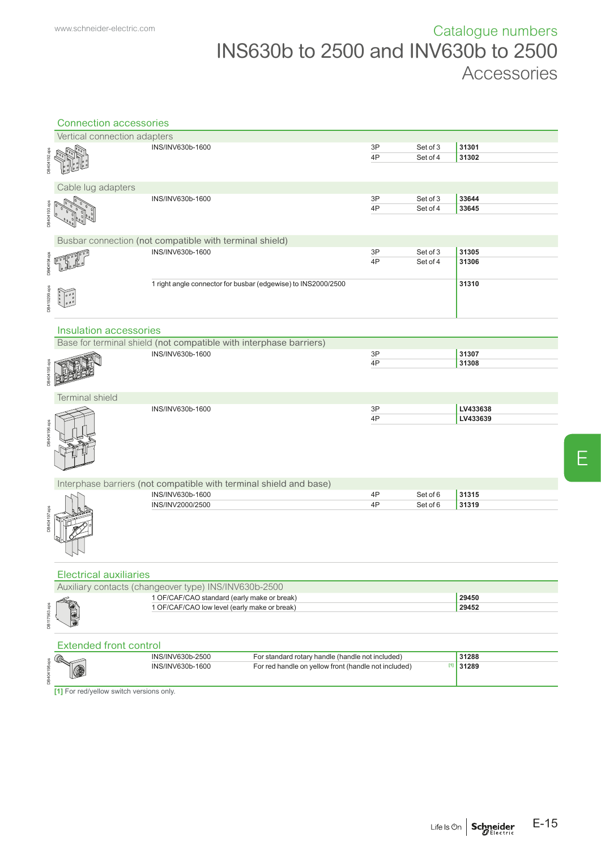|              | <b>Connection accessories</b>                                                          |                                                                          |    |          |          |  |  |
|--------------|----------------------------------------------------------------------------------------|--------------------------------------------------------------------------|----|----------|----------|--|--|
|              | Vertical connection adapters                                                           |                                                                          |    |          |          |  |  |
|              |                                                                                        | INS/INV630b-1600                                                         | 3P | Set of 3 | 31301    |  |  |
|              |                                                                                        |                                                                          | 4P | Set of 4 | 31302    |  |  |
| DB404192.eps |                                                                                        |                                                                          |    |          |          |  |  |
|              |                                                                                        |                                                                          |    |          |          |  |  |
|              | Cable lug adapters                                                                     |                                                                          |    |          |          |  |  |
|              |                                                                                        | INS/INV630b-1600                                                         | 3P | Set of 3 | 33644    |  |  |
| DB404193.eps |                                                                                        |                                                                          | 4P | Set of 4 | 33645    |  |  |
|              |                                                                                        |                                                                          |    |          |          |  |  |
|              |                                                                                        |                                                                          |    |          |          |  |  |
|              |                                                                                        | Busbar connection (not compatible with terminal shield)                  |    |          |          |  |  |
|              |                                                                                        | INS/INV630b-1600                                                         | 3P | Set of 3 | 31305    |  |  |
| DB404194.eps |                                                                                        |                                                                          | 4P | Set of 4 | 31306    |  |  |
|              |                                                                                        |                                                                          |    |          |          |  |  |
|              |                                                                                        | 1 right angle connector for busbar (edgewise) to INS2000/2500            |    |          | 31310    |  |  |
|              |                                                                                        |                                                                          |    |          |          |  |  |
| DB419299.eps |                                                                                        |                                                                          |    |          |          |  |  |
|              |                                                                                        |                                                                          |    |          |          |  |  |
|              | Insulation accessories                                                                 |                                                                          |    |          |          |  |  |
|              |                                                                                        |                                                                          |    |          |          |  |  |
|              | Base for terminal shield (not compatible with interphase barriers)<br>INS/INV630b-1600 |                                                                          | 3P |          | 31307    |  |  |
|              |                                                                                        |                                                                          | 4P |          | 31308    |  |  |
| DB404195.ep  |                                                                                        |                                                                          |    |          |          |  |  |
|              |                                                                                        |                                                                          |    |          |          |  |  |
|              |                                                                                        |                                                                          |    |          |          |  |  |
|              | <b>Terminal shield</b>                                                                 | INS/INV630b-1600                                                         | 3P |          | LV433638 |  |  |
|              |                                                                                        |                                                                          | 4P |          | LV433639 |  |  |
|              |                                                                                        |                                                                          |    |          |          |  |  |
| DB404196.eps |                                                                                        |                                                                          |    |          |          |  |  |
|              |                                                                                        |                                                                          |    |          |          |  |  |
|              |                                                                                        |                                                                          |    |          |          |  |  |
|              |                                                                                        |                                                                          |    |          |          |  |  |
|              |                                                                                        | Interphase barriers (not compatible with terminal shield and base)       |    |          |          |  |  |
|              |                                                                                        | INS/INV630b-1600                                                         | 4P | Set of 6 | 31315    |  |  |
|              |                                                                                        | INS/INV2000/2500                                                         | 4P | Set of 6 | 31319    |  |  |
|              |                                                                                        |                                                                          |    |          |          |  |  |
| DB404197.eps |                                                                                        |                                                                          |    |          |          |  |  |
|              |                                                                                        |                                                                          |    |          |          |  |  |
|              |                                                                                        |                                                                          |    |          |          |  |  |
|              |                                                                                        |                                                                          |    |          |          |  |  |
|              |                                                                                        |                                                                          |    |          |          |  |  |
|              | <b>Electrical auxiliaries</b>                                                          |                                                                          |    |          |          |  |  |
|              | Auxiliary contacts (changeover type) INS/INV630b-2500                                  |                                                                          |    |          |          |  |  |
|              |                                                                                        | 1 OF/CAF/CAO standard (early make or break)                              |    | 29450    |          |  |  |
|              |                                                                                        | 1 OF/CAF/CAO low level (early make or break)                             |    |          | 29452    |  |  |
| DB117563.eps |                                                                                        |                                                                          |    |          |          |  |  |
|              |                                                                                        |                                                                          |    |          |          |  |  |
|              | <b>Extended front control</b>                                                          |                                                                          |    |          |          |  |  |
|              |                                                                                        | INS/INV630b-2500<br>For standard rotary handle (handle not included)     |    |          | 31288    |  |  |
|              |                                                                                        | For red handle on yellow front (handle not included)<br>INS/INV630b-1600 |    | $[1]$    | 31289    |  |  |
| DB404198.eps |                                                                                        |                                                                          |    |          |          |  |  |
|              |                                                                                        |                                                                          |    |          |          |  |  |

**[1]** For red/yellow switch versions only.